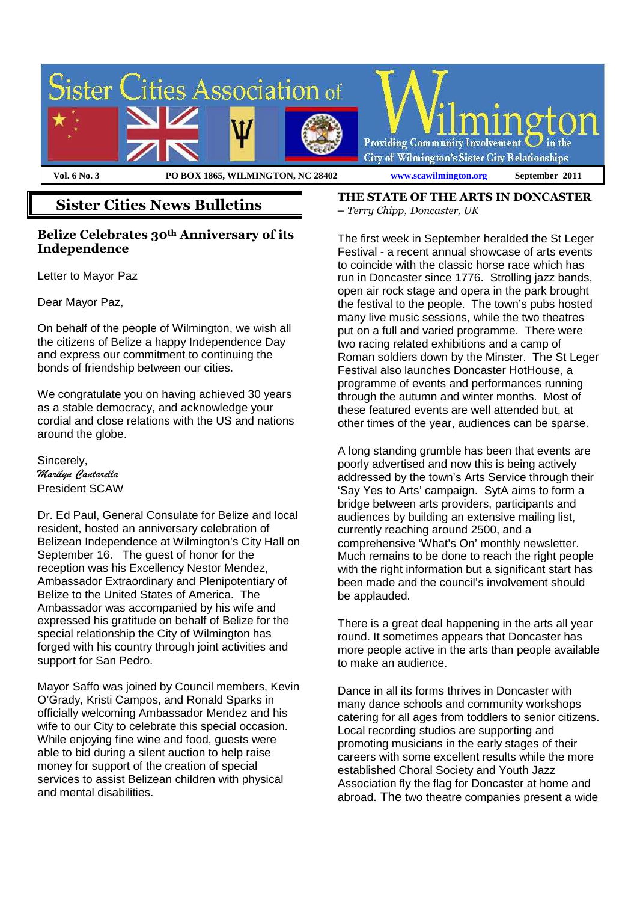

## **Sister Cities News Bulletins**

### **Belize Celebrates 30th Anniversary of its Independence**

Letter to Mayor Paz

Dear Mayor Paz,

On behalf of the people of Wilmington, we wish all the citizens of Belize a happy Independence Day and express our commitment to continuing the bonds of friendship between our cities.

We congratulate you on having achieved 30 years as a stable democracy, and acknowledge your cordial and close relations with the US and nations around the globe.

Sincerely, *Marilyn Cantarella*  President SCAW

Dr. Ed Paul, General Consulate for Belize and local resident, hosted an anniversary celebration of Belizean Independence at Wilmington's City Hall on September 16. The guest of honor for the reception was his Excellency Nestor Mendez, Ambassador Extraordinary and Plenipotentiary of Belize to the United States of America. The Ambassador was accompanied by his wife and expressed his gratitude on behalf of Belize for the special relationship the City of Wilmington has forged with his country through joint activities and support for San Pedro.

Mayor Saffo was joined by Council members, Kevin O'Grady, Kristi Campos, and Ronald Sparks in officially welcoming Ambassador Mendez and his wife to our City to celebrate this special occasion. While enjoying fine wine and food, guests were able to bid during a silent auction to help raise money for support of the creation of special services to assist Belizean children with physical and mental disabilities.

**THE STATE OF THE ARTS IN DONCASTER**  – *Terry Chipp, Doncaster, UK*

The first week in September heralded the St Leger Festival - a recent annual showcase of arts events to coincide with the classic horse race which has run in Doncaster since 1776. Strolling jazz bands, open air rock stage and opera in the park brought the festival to the people. The town's pubs hosted many live music sessions, while the two theatres put on a full and varied programme. There were two racing related exhibitions and a camp of Roman soldiers down by the Minster. The St Leger Festival also launches Doncaster HotHouse, a programme of events and performances running through the autumn and winter months. Most of these featured events are well attended but, at other times of the year, audiences can be sparse.

A long standing grumble has been that events are poorly advertised and now this is being actively addressed by the town's Arts Service through their 'Say Yes to Arts' campaign. SytA aims to form a bridge between arts providers, participants and audiences by building an extensive mailing list, currently reaching around 2500, and a comprehensive 'What's On' monthly newsletter. Much remains to be done to reach the right people with the right information but a significant start has been made and the council's involvement should be applauded.

There is a great deal happening in the arts all year round. It sometimes appears that Doncaster has more people active in the arts than people available to make an audience.

Dance in all its forms thrives in Doncaster with many dance schools and community workshops catering for all ages from toddlers to senior citizens. Local recording studios are supporting and promoting musicians in the early stages of their careers with some excellent results while the more established Choral Society and Youth Jazz Association fly the flag for Doncaster at home and abroad. The two theatre companies present a wide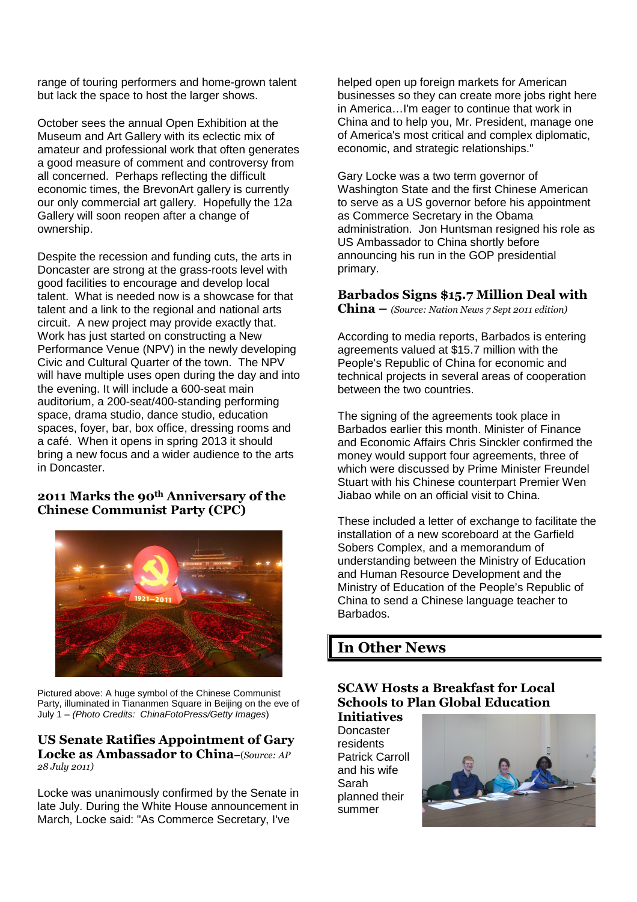range of touring performers and home-grown talent but lack the space to host the larger shows.

October sees the annual Open Exhibition at the Museum and Art Gallery with its eclectic mix of amateur and professional work that often generates a good measure of comment and controversy from all concerned. Perhaps reflecting the difficult economic times, the BrevonArt gallery is currently our only commercial art gallery. Hopefully the 12a Gallery will soon reopen after a change of ownership.

Despite the recession and funding cuts, the arts in Doncaster are strong at the grass-roots level with good facilities to encourage and develop local talent. What is needed now is a showcase for that talent and a link to the regional and national arts circuit. A new project may provide exactly that. Work has just started on constructing a New Performance Venue (NPV) in the newly developing Civic and Cultural Quarter of the town. The NPV will have multiple uses open during the day and into the evening. It will include a 600-seat main auditorium, a 200-seat/400-standing performing space, drama studio, dance studio, education spaces, foyer, bar, box office, dressing rooms and a café. When it opens in spring 2013 it should bring a new focus and a wider audience to the arts in Doncaster.

### **2011 Marks the 90th Anniversary of the Chinese Communist Party (CPC)**



Pictured above: A huge symbol of the Chinese Communist Party, illuminated in Tiananmen Square in Beijing on the eve of July 1 – (Photo Credits: ChinaFotoPress/Getty Images)

#### **US Senate Ratifies Appointment of Gary Locke as Ambassador to China–**(*Source: AP 28 July 2011)*

Locke was unanimously confirmed by the Senate in late July. During the White House announcement in March, Locke said: "As Commerce Secretary, I've

helped open up foreign markets for American businesses so they can create more jobs right here in America…I'm eager to continue that work in China and to help you, Mr. President, manage one of America's most critical and complex diplomatic, economic, and strategic relationships."

Gary Locke was a two term governor of Washington State and the first Chinese American to serve as a US governor before his appointment as Commerce Secretary in the Obama administration. Jon Huntsman resigned his role as US Ambassador to China shortly before announcing his run in the GOP presidential primary.

### **Barbados Signs \$15.7 Million Deal with**

**China –** *(Source: Nation News 7 Sept 2011 edition)*

According to media reports, Barbados is entering agreements valued at \$15.7 million with the People's Republic of China for economic and technical projects in several areas of cooperation between the two countries.

The signing of the agreements took place in Barbados earlier this month. Minister of Finance and Economic Affairs Chris Sinckler confirmed the money would support four agreements, three of which were discussed by Prime Minister Freundel Stuart with his Chinese counterpart Premier Wen Jiabao while on an official visit to China.

These included a letter of exchange to facilitate the installation of a new scoreboard at the Garfield Sobers Complex, and a memorandum of understanding between the Ministry of Education and Human Resource Development and the Ministry of Education of the People's Republic of China to send a Chinese language teacher to Barbados.

### **In Other News**

### **SCAW Hosts a Breakfast for Local Schools to Plan Global Education**

**Initiatives Doncaster** residents Patrick Carroll and his wife Sarah planned their summer